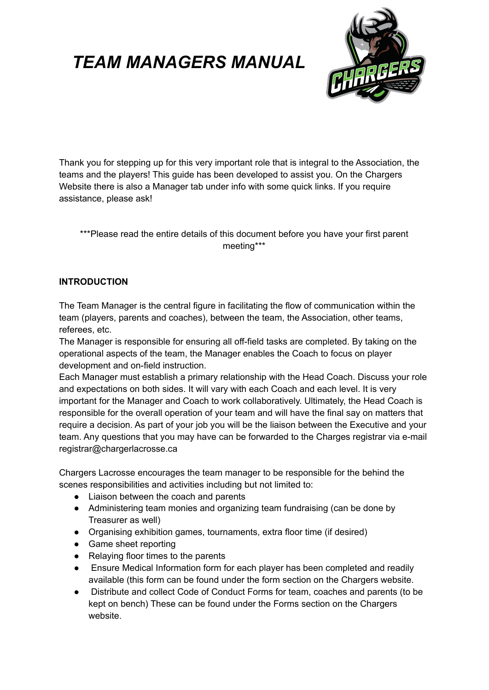

Thank you for stepping up for this very important role that is integral to the Association, the teams and the players! This guide has been developed to assist you. On the Chargers Website there is also a Manager tab under info with some quick links. If you require assistance, please ask!

## \*\*\*Please read the entire details of this document before you have your first parent meeting\*\*\*

#### **INTRODUCTION**

The Team Manager is the central figure in facilitating the flow of communication within the team (players, parents and coaches), between the team, the Association, other teams, referees, etc.

The Manager is responsible for ensuring all off-field tasks are completed. By taking on the operational aspects of the team, the Manager enables the Coach to focus on player development and on-field instruction.

Each Manager must establish a primary relationship with the Head Coach. Discuss your role and expectations on both sides. It will vary with each Coach and each level. It is very important for the Manager and Coach to work collaboratively. Ultimately, the Head Coach is responsible for the overall operation of your team and will have the final say on matters that require a decision. As part of your job you will be the liaison between the Executive and your team. Any questions that you may have can be forwarded to the Charges registrar via e-mail registrar@chargerlacrosse.ca

Chargers Lacrosse encourages the team manager to be responsible for the behind the scenes responsibilities and activities including but not limited to:

- Liaison between the coach and parents
- Administering team monies and organizing team fundraising (can be done by Treasurer as well)
- Organising exhibition games, tournaments, extra floor time (if desired)
- Game sheet reporting
- Relaying floor times to the parents
- Ensure Medical Information form for each player has been completed and readily available (this form can be found under the form section on the Chargers website.
- Distribute and collect Code of Conduct Forms for team, coaches and parents (to be kept on bench) These can be found under the Forms section on the Chargers website.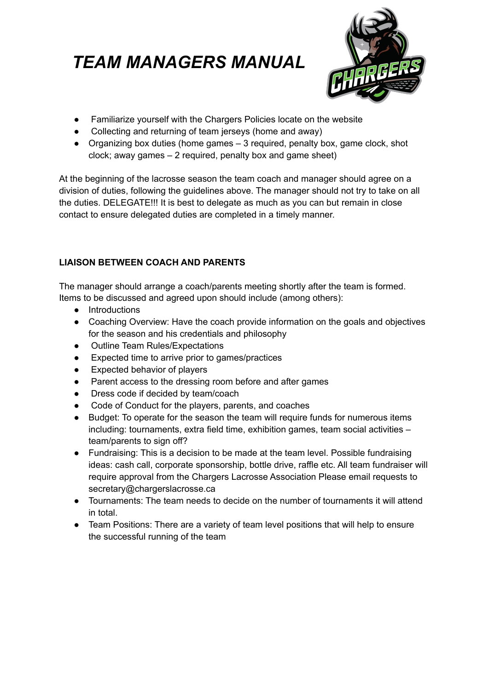

- Familiarize yourself with the Chargers Policies locate on the website
- Collecting and returning of team jerseys (home and away)
- Organizing box duties (home games  $-3$  required, penalty box, game clock, shot clock; away games – 2 required, penalty box and game sheet)

At the beginning of the lacrosse season the team coach and manager should agree on a division of duties, following the guidelines above. The manager should not try to take on all the duties. DELEGATE!!! It is best to delegate as much as you can but remain in close contact to ensure delegated duties are completed in a timely manner.

# **LIAISON BETWEEN COACH AND PARENTS**

The manager should arrange a coach/parents meeting shortly after the team is formed. Items to be discussed and agreed upon should include (among others):

- Introductions
- Coaching Overview: Have the coach provide information on the goals and objectives for the season and his credentials and philosophy
- Outline Team Rules/Expectations
- Expected time to arrive prior to games/practices
- Expected behavior of players
- Parent access to the dressing room before and after games
- Dress code if decided by team/coach
- Code of Conduct for the players, parents, and coaches
- Budget: To operate for the season the team will require funds for numerous items including: tournaments, extra field time, exhibition games, team social activities – team/parents to sign off?
- Fundraising: This is a decision to be made at the team level. Possible fundraising ideas: cash call, corporate sponsorship, bottle drive, raffle etc. All team fundraiser will require approval from the Chargers Lacrosse Association Please email requests to secretary@chargerslacrosse.ca
- Tournaments: The team needs to decide on the number of tournaments it will attend in total.
- Team Positions: There are a variety of team level positions that will help to ensure the successful running of the team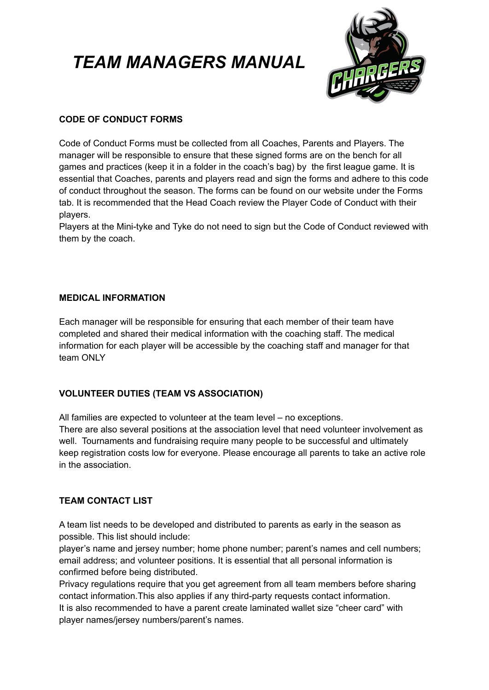

# **CODE OF CONDUCT FORMS**

Code of Conduct Forms must be collected from all Coaches, Parents and Players. The manager will be responsible to ensure that these signed forms are on the bench for all games and practices (keep it in a folder in the coach's bag) by the first league game. It is essential that Coaches, parents and players read and sign the forms and adhere to this code of conduct throughout the season. The forms can be found on our website under the Forms tab. It is recommended that the Head Coach review the Player Code of Conduct with their players.

Players at the Mini-tyke and Tyke do not need to sign but the Code of Conduct reviewed with them by the coach.

## **MEDICAL INFORMATION**

Each manager will be responsible for ensuring that each member of their team have completed and shared their medical information with the coaching staff. The medical information for each player will be accessible by the coaching staff and manager for that team ONLY

# **VOLUNTEER DUTIES (TEAM VS ASSOCIATION)**

All families are expected to volunteer at the team level – no exceptions.

There are also several positions at the association level that need volunteer involvement as well. Tournaments and fundraising require many people to be successful and ultimately keep registration costs low for everyone. Please encourage all parents to take an active role in the association.

### **TEAM CONTACT LIST**

A team list needs to be developed and distributed to parents as early in the season as possible. This list should include:

player's name and jersey number; home phone number; parent's names and cell numbers; email address; and volunteer positions. It is essential that all personal information is confirmed before being distributed.

Privacy regulations require that you get agreement from all team members before sharing contact information.This also applies if any third-party requests contact information. It is also recommended to have a parent create laminated wallet size "cheer card" with player names/jersey numbers/parent's names.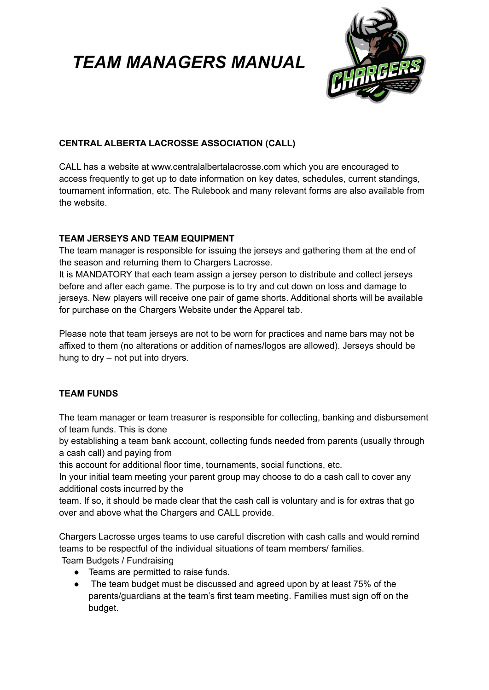

# **CENTRAL ALBERTA LACROSSE ASSOCIATION (CALL)**

CALL has a website at www.centralalbertalacrosse.com which you are encouraged to access frequently to get up to date information on key dates, schedules, current standings, tournament information, etc. The Rulebook and many relevant forms are also available from the website.

### **TEAM JERSEYS AND TEAM EQUIPMENT**

The team manager is responsible for issuing the jerseys and gathering them at the end of the season and returning them to Chargers Lacrosse.

It is MANDATORY that each team assign a jersey person to distribute and collect jerseys before and after each game. The purpose is to try and cut down on loss and damage to jerseys. New players will receive one pair of game shorts. Additional shorts will be available for purchase on the Chargers Website under the Apparel tab.

Please note that team jerseys are not to be worn for practices and name bars may not be affixed to them (no alterations or addition of names/logos are allowed). Jerseys should be hung to dry – not put into dryers.

# **TEAM FUNDS**

The team manager or team treasurer is responsible for collecting, banking and disbursement of team funds. This is done

by establishing a team bank account, collecting funds needed from parents (usually through a cash call) and paying from

this account for additional floor time, tournaments, social functions, etc.

In your initial team meeting your parent group may choose to do a cash call to cover any additional costs incurred by the

team. If so, it should be made clear that the cash call is voluntary and is for extras that go over and above what the Chargers and CALL provide.

Chargers Lacrosse urges teams to use careful discretion with cash calls and would remind teams to be respectful of the individual situations of team members/ families. Team Budgets / Fundraising

- Teams are permitted to raise funds.
- The team budget must be discussed and agreed upon by at least 75% of the parents/guardians at the team's first team meeting. Families must sign off on the budget.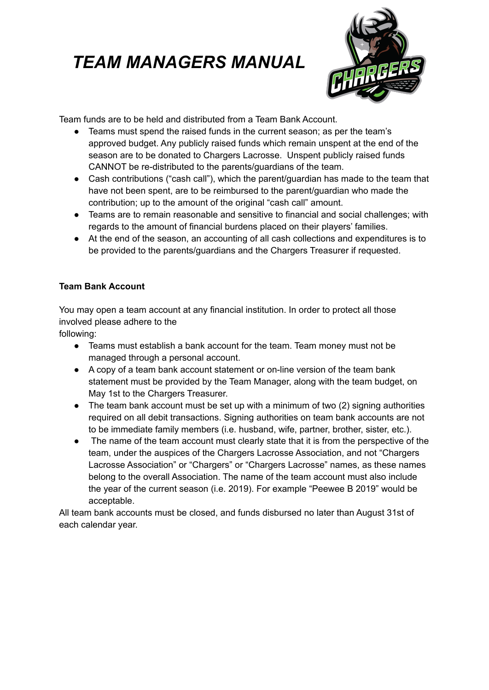

Team funds are to be held and distributed from a Team Bank Account.

- Teams must spend the raised funds in the current season; as per the team's approved budget. Any publicly raised funds which remain unspent at the end of the season are to be donated to Chargers Lacrosse. Unspent publicly raised funds CANNOT be re-distributed to the parents/guardians of the team.
- Cash contributions ("cash call"), which the parent/guardian has made to the team that have not been spent, are to be reimbursed to the parent/guardian who made the contribution; up to the amount of the original "cash call" amount.
- Teams are to remain reasonable and sensitive to financial and social challenges; with regards to the amount of financial burdens placed on their players' families.
- At the end of the season, an accounting of all cash collections and expenditures is to be provided to the parents/guardians and the Chargers Treasurer if requested.

## **Team Bank Account**

You may open a team account at any financial institution. In order to protect all those involved please adhere to the

following:

- Teams must establish a bank account for the team. Team money must not be managed through a personal account.
- A copy of a team bank account statement or on-line version of the team bank statement must be provided by the Team Manager, along with the team budget, on May 1st to the Chargers Treasurer.
- The team bank account must be set up with a minimum of two (2) signing authorities required on all debit transactions. Signing authorities on team bank accounts are not to be immediate family members (i.e. husband, wife, partner, brother, sister, etc.).
- The name of the team account must clearly state that it is from the perspective of the team, under the auspices of the Chargers Lacrosse Association, and not "Chargers Lacrosse Association" or "Chargers" or "Chargers Lacrosse" names, as these names belong to the overall Association. The name of the team account must also include the year of the current season (i.e. 2019). For example "Peewee B 2019" would be acceptable.

All team bank accounts must be closed, and funds disbursed no later than August 31st of each calendar year.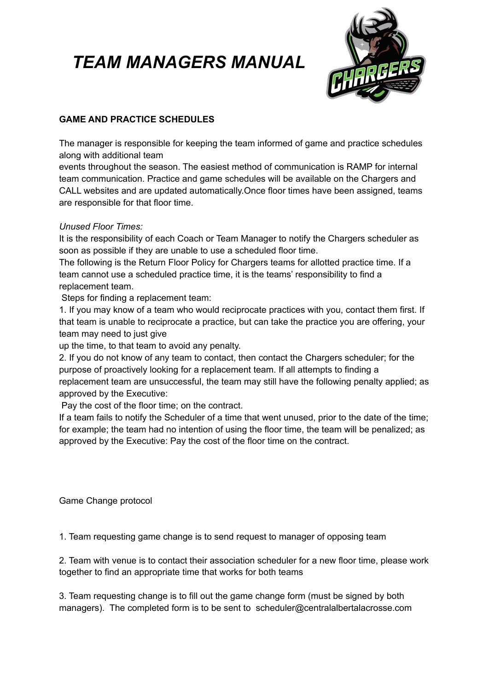

# **GAME AND PRACTICE SCHEDULES**

The manager is responsible for keeping the team informed of game and practice schedules along with additional team

events throughout the season. The easiest method of communication is RAMP for internal team communication. Practice and game schedules will be available on the Chargers and CALL websites and are updated automatically.Once floor times have been assigned, teams are responsible for that floor time.

### *Unused Floor Times:*

It is the responsibility of each Coach or Team Manager to notify the Chargers scheduler as soon as possible if they are unable to use a scheduled floor time.

The following is the Return Floor Policy for Chargers teams for allotted practice time. If a team cannot use a scheduled practice time, it is the teams' responsibility to find a replacement team.

Steps for finding a replacement team:

1. If you may know of a team who would reciprocate practices with you, contact them first. If that team is unable to reciprocate a practice, but can take the practice you are offering, your team may need to just give

up the time, to that team to avoid any penalty.

2. If you do not know of any team to contact, then contact the Chargers scheduler; for the purpose of proactively looking for a replacement team. If all attempts to finding a replacement team are unsuccessful, the team may still have the following penalty applied; as approved by the Executive:

Pay the cost of the floor time; on the contract.

If a team fails to notify the Scheduler of a time that went unused, prior to the date of the time; for example; the team had no intention of using the floor time, the team will be penalized; as approved by the Executive: Pay the cost of the floor time on the contract.

Game Change protocol

1. Team requesting game change is to send request to manager of opposing team

2. Team with venue is to contact their association scheduler for a new floor time, please work together to find an appropriate time that works for both teams

3. Team requesting change is to fill out the game change form (must be signed by both managers). The completed form is to be sent to scheduler@centralalbertalacrosse.com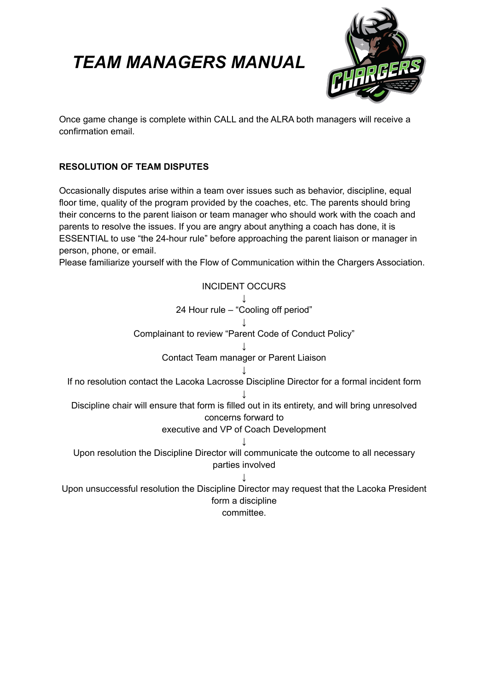

Once game change is complete within CALL and the ALRA both managers will receive a confirmation email.

# **RESOLUTION OF TEAM DISPUTES**

Occasionally disputes arise within a team over issues such as behavior, discipline, equal floor time, quality of the program provided by the coaches, etc. The parents should bring their concerns to the parent liaison or team manager who should work with the coach and parents to resolve the issues. If you are angry about anything a coach has done, it is ESSENTIAL to use "the 24-hour rule" before approaching the parent liaison or manager in person, phone, or email.

Please familiarize yourself with the Flow of Communication within the Chargers Association.

INCIDENT OCCURS ↓ 24 Hour rule – "Cooling off period" ↓ Complainant to review "Parent Code of Conduct Policy" ↓ Contact Team manager or Parent Liaison ↓ If no resolution contact the Lacoka Lacrosse Discipline Director for a formal incident form ↓ Discipline chair will ensure that form is filled out in its entirety, and will bring unresolved concerns forward to executive and VP of Coach Development ↓ Upon resolution the Discipline Director will communicate the outcome to all necessary parties involved ↓ Upon unsuccessful resolution the Discipline Director may request that the Lacoka President form a discipline committee.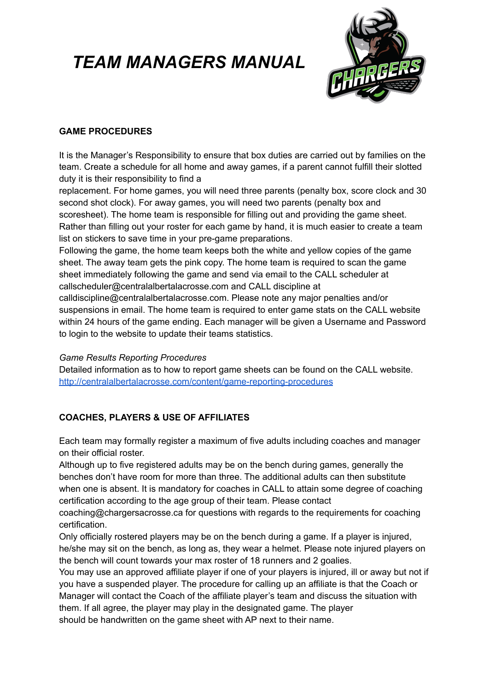

### **GAME PROCEDURES**

It is the Manager's Responsibility to ensure that box duties are carried out by families on the team. Create a schedule for all home and away games, if a parent cannot fulfill their slotted duty it is their responsibility to find a

replacement. For home games, you will need three parents (penalty box, score clock and 30 second shot clock). For away games, you will need two parents (penalty box and scoresheet). The home team is responsible for filling out and providing the game sheet. Rather than filling out your roster for each game by hand, it is much easier to create a team list on stickers to save time in your pre-game preparations.

Following the game, the home team keeps both the white and yellow copies of the game sheet. The away team gets the pink copy. The home team is required to scan the game sheet immediately following the game and send via email to the CALL scheduler at callscheduler@centralalbertalacrosse.com and CALL discipline at

calldiscipline@centralalbertalacrosse.com. Please note any major penalties and/or suspensions in email. The home team is required to enter game stats on the CALL website within 24 hours of the game ending. Each manager will be given a Username and Password to login to the website to update their teams statistics.

### *Game Results Reporting Procedures*

Detailed information as to how to report game sheets can be found on the CALL website. <http://centralalbertalacrosse.com/content/game-reporting-procedures>

### **COACHES, PLAYERS & USE OF AFFILIATES**

Each team may formally register a maximum of five adults including coaches and manager on their official roster.

Although up to five registered adults may be on the bench during games, generally the benches don't have room for more than three. The additional adults can then substitute when one is absent. It is mandatory for coaches in CALL to attain some degree of coaching certification according to the age group of their team. Please contact

coaching@chargersacrosse.ca for questions with regards to the requirements for coaching certification.

Only officially rostered players may be on the bench during a game. If a player is injured, he/she may sit on the bench, as long as, they wear a helmet. Please note injured players on the bench will count towards your max roster of 18 runners and 2 goalies.

You may use an approved affiliate player if one of your players is injured, ill or away but not if you have a suspended player. The procedure for calling up an affiliate is that the Coach or Manager will contact the Coach of the affiliate player's team and discuss the situation with them. If all agree, the player may play in the designated game. The player should be handwritten on the game sheet with AP next to their name.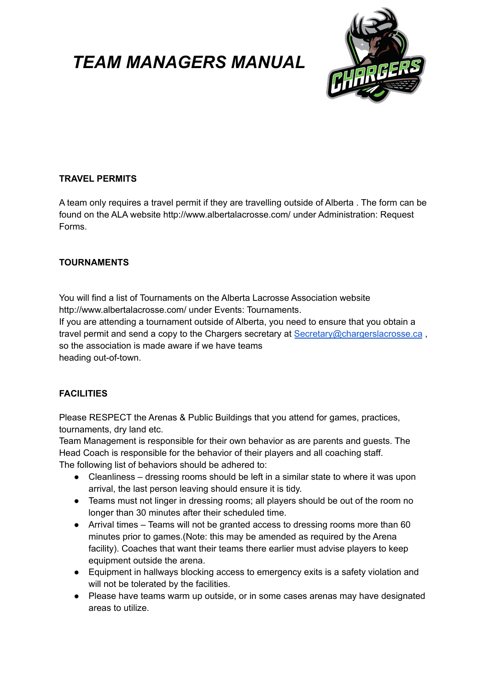

### **TRAVEL PERMITS**

A team only requires a travel permit if they are travelling outside of Alberta . The form can be found on the ALA website http://www.albertalacrosse.com/ under Administration: Request Forms.

#### **TOURNAMENTS**

You will find a list of Tournaments on the Alberta Lacrosse Association website http://www.albertalacrosse.com/ under Events: Tournaments.

If you are attending a tournament outside of Alberta, you need to ensure that you obtain a travel permit and send a copy to the Chargers secretary at [Secretary@chargerslacrosse.ca](mailto:Secretary@chargerslacrosse.ca), so the association is made aware if we have teams heading out-of-town.

### **FACILITIES**

Please RESPECT the Arenas & Public Buildings that you attend for games, practices, tournaments, dry land etc.

Team Management is responsible for their own behavior as are parents and guests. The Head Coach is responsible for the behavior of their players and all coaching staff. The following list of behaviors should be adhered to:

- Cleanliness dressing rooms should be left in a similar state to where it was upon arrival, the last person leaving should ensure it is tidy.
- Teams must not linger in dressing rooms; all players should be out of the room no longer than 30 minutes after their scheduled time.
- Arrival times Teams will not be granted access to dressing rooms more than 60 minutes prior to games.(Note: this may be amended as required by the Arena facility). Coaches that want their teams there earlier must advise players to keep equipment outside the arena.
- Equipment in hallways blocking access to emergency exits is a safety violation and will not be tolerated by the facilities.
- Please have teams warm up outside, or in some cases arenas may have designated areas to utilize.